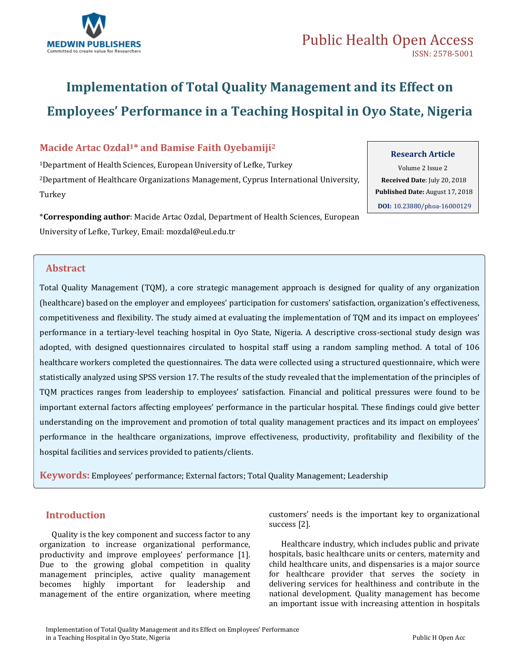

# **Implementation of Total Quality Management and its Effect on Employees' Performance in a Teaching Hospital in Oyo State, Nigeria**

# **Macide Artac Ozdal1\* and Bamise Faith Oyebamiji<sup>2</sup>**

<sup>1</sup>Department of Health Sciences, European University of Lefke, Turkey <sup>2</sup>Department of Healthcare Organizations Management, Cyprus International University, Turkey

\***Corresponding author**: Macide Artac Ozdal, Department of Health Sciences, European University of Lefke, Turkey, Email: [mozdal@eul.edu.tr](mailto:mozdal@eul.edu.tr)

# **Abstract**

Total Quality Management (TQM), a core strategic management approach is designed for quality of any organization (healthcare) based on the employer and employees' participation for customers' satisfaction, organization's effectiveness, competitiveness and flexibility. The study aimed at evaluating the implementation of TQM and its impact on employees' performance in a tertiary-level teaching hospital in Oyo State, Nigeria. A descriptive cross-sectional study design was adopted, with designed questionnaires circulated to hospital staff using a random sampling method. A total of 106 healthcare workers completed the questionnaires. The data were collected using a structured questionnaire, which were statistically analyzed using SPSS version 17. The results of the study revealed that the implementation of the principles of TQM practices ranges from leadership to employees' satisfaction. Financial and political pressures were found to be important external factors affecting employees' performance in the particular hospital. These findings could give better understanding on the improvement and promotion of total quality management practices and its impact on employees' performance in the healthcare organizations, improve effectiveness, productivity, profitability and flexibility of the hospital facilities and services provided to patients/clients.

**Keywords:** Employees' performance; External factors; Total Quality Management; Leadership

# **Introduction**

Quality is the key component and success factor to any organization to increase organizational performance, productivity and improve employees' performance [1]. Due to the growing global competition in quality management principles, active quality management becomes highly important for leadership and management of the entire organization, where meeting customers' needs is the important key to organizational success [2].

Healthcare industry, which includes public and private hospitals, basic healthcare units or centers, maternity and child healthcare units, and dispensaries is a major source for healthcare provider that serves the society in delivering services for healthiness and contribute in the national development. Quality management has become an important issue with increasing attention in hospitals

# **Research Article**

Volume 2 Issue 2  **Received Date**: July 20, 2018  **Published Date:** August 17, 2018

**DOI:** [10.23880/phoa-16000129](https://doi.org/10.23880/phoa-16000129)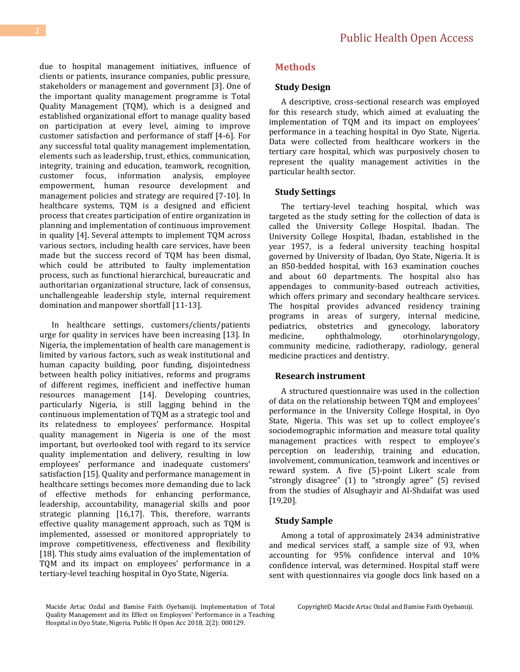Public Health Open Access

due to hospital management initiatives, influence of clients or patients, insurance companies, public pressure, stakeholders or management and government [3]. One of the important quality management programme is Total Quality Management (TQM), which is a designed and established organizational effort to manage quality based on participation at every level, aiming to improve customer satisfaction and performance of staff [4-6]. For any successful total quality management implementation, elements such as leadership, trust, ethics, communication, integrity, training and education, teamwork, recognition, customer focus, information analysis, employee empowerment, human resource development and management policies and strategy are required [7-10]. In healthcare systems, TQM is a designed and efficient process that creates participation of entire organization in planning and implementation of continuous improvement in quality [4]. Several attempts to implement TQM across various sectors, including health care services, have been made but the success record of TQM has been dismal, which could be attributed to faulty implementation process, such as functional hierarchical, bureaucratic and authoritarian organizational structure, lack of consensus, unchallengeable leadership style, internal requirement domination and manpower shortfall [11-13].

In healthcare settings, customers/clients/patients urge for quality in services have been increasing [13]. In Nigeria, the implementation of health care management is limited by various factors, such as weak institutional and human capacity building, poor funding, disjointedness between health policy initiatives, reforms and programs of different regimes, inefficient and ineffective human resources management [14]. Developing countries, particularly Nigeria, is still lagging behind in the continuous implementation of TQM as a strategic tool and its relatedness to employees' performance. Hospital quality management in Nigeria is one of the most important, but overlooked tool with regard to its service quality implementation and delivery, resulting in low employees' performance and inadequate customers' satisfaction [15]. Quality and performance management in healthcare settings becomes more demanding due to lack of effective methods for enhancing performance, leadership, accountability, managerial skills and poor strategic planning [16,17]. This, therefore, warrants effective quality management approach, such as TQM is implemented, assessed or monitored appropriately to improve competitiveness, effectiveness and flexibility [18]. This study aims evaluation of the implementation of TQM and its impact on employees' performance in a tertiary-level teaching hospital in Oyo State, Nigeria.

### **Methods**

#### **Study Design**

A descriptive, cross-sectional research was employed for this research study, which aimed at evaluating the implementation of TQM and its impact on employees' performance in a teaching hospital in Oyo State, Nigeria. Data were collected from healthcare workers in the tertiary care hospital, which was purposively chosen to represent the quality management activities in the particular health sector.

#### **Study Settings**

The tertiary-level teaching hospital, which was targeted as the study setting for the collection of data is called the University College Hospital. Ibadan. The University College Hospital, Ibadan, established in the year 1957, is a federal university teaching hospital governed by University of Ibadan, Oyo State, Nigeria. It is an 850-bedded hospital, with 163 examination couches and about 60 departments. The hospital also has appendages to community-based outreach activities, which offers primary and secondary healthcare services. The hospital provides advanced residency training programs in areas of surgery, internal medicine, pediatrics, obstetrics and gynecology, laboratory medicine, ophthalmology, otorhinolaryngology, community medicine, radiotherapy, radiology, general medicine practices and dentistry.

#### **Research instrument**

A structured questionnaire was used in the collection of data on the relationship between TQM and employees' performance in the University College Hospital, in Oyo State, Nigeria. This was set up to collect employee's sociodemographic information and measure total quality management practices with respect to employee's perception on leadership, training and education, involvement, communication, teamwork and incentives or reward system. A five (5)-point Likert scale from "strongly disagree" (1) to "strongly agree" (5) revised from the studies of Alsughayir and Al-Shdaifat was used [19,20].

#### **Study Sample**

Among a total of approximately 2434 administrative and medical services staff, a sample size of 93, when accounting for 95% confidence interval and 10% confidence interval, was determined. Hospital staff were sent with questionnaires via google docs link based on a

Macide Artac Ozdal and Bamise Faith Oyebamiji. Implementation of Total Quality Management and its Effect on Employees' Performance in a Teaching Hospital in Oyo State, Nigeria. Public H Open Acc 2018, 2(2): 000129.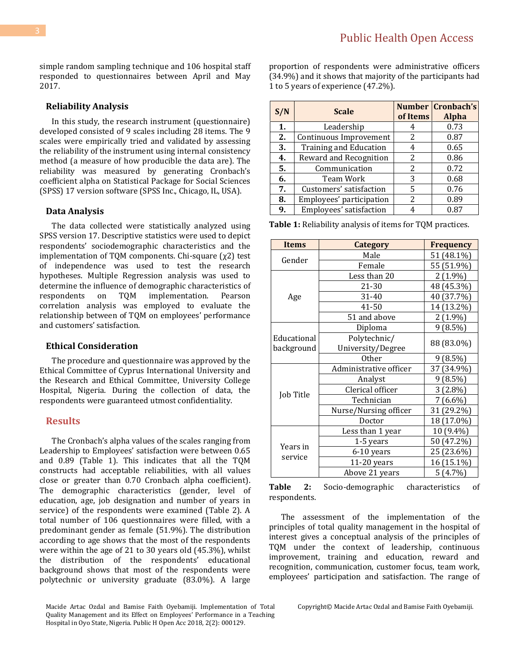simple random sampling technique and 106 hospital staff responded to questionnaires between April and May 2017.

#### **Reliability Analysis**

In this study, the research instrument (questionnaire) developed consisted of 9 scales including 28 items. The 9 scales were empirically tried and validated by assessing the reliability of the instrument using internal consistency method (a measure of how producible the data are). The reliability was measured by generating Cronbach's coefficient alpha on Statistical Package for Social Sciences (SPSS) 17 version software (SPSS Inc., Chicago, IL, USA).

#### **Data Analysis**

The data collected were statistically analyzed using SPSS version 17. Descriptive statistics were used to depict respondents' sociodemographic characteristics and the implementation of TQM components. Chi-square (χ2) test of independence was used to test the research hypotheses. Multiple Regression analysis was used to determine the influence of demographic characteristics of respondents on TQM implementation. Pearson correlation analysis was employed to evaluate the relationship between of TQM on employees' performance and customers' satisfaction.

# **Ethical Consideration**

The procedure and questionnaire was approved by the Ethical Committee of Cyprus International University and the Research and Ethical Committee, University College Hospital, Nigeria. During the collection of data, the respondents were guaranteed utmost confidentiality.

#### **Results**

The Cronbach's alpha values of the scales ranging from Leadership to Employees' satisfaction were between 0.65 and 0.89 (Table 1). This indicates that all the TQM constructs had acceptable reliabilities, with all values close or greater than 0.70 Cronbach alpha coefficient). The demographic characteristics (gender, level of education, age, job designation and number of years in service) of the respondents were examined (Table 2). A total number of 106 questionnaires were filled, with a predominant gender as female (51.9%). The distribution according to age shows that the most of the respondents were within the age of 21 to 30 years old (45.3%), whilst the distribution of the respondents' educational background shows that most of the respondents were polytechnic or university graduate (83.0%). A large

Macide Artac Ozdal and Bamise Faith Oyebamiji. Implementation of Total Quality Management and its Effect on Employees' Performance in a Teaching Hospital in Oyo State, Nigeria. Public H Open Acc 2018, 2(2): 000129.

proportion of respondents were administrative officers (34.9%) and it shows that majority of the participants had 1 to 5 years of experience (47.2%).

| S/N | <b>Scale</b>                  | of Items | <b>Number Cronbach's</b><br><b>Alpha</b> |
|-----|-------------------------------|----------|------------------------------------------|
| 1.  | Leadership                    | 4        | 0.73                                     |
| 2.  | Continuous Improvement        | 2        | 0.87                                     |
| 3.  | <b>Training and Education</b> |          | 0.65                                     |
| 4.  | Reward and Recognition        | 2        | 0.86                                     |
| 5.  | Communication                 | 2        | 0.72                                     |
| 6.  | Team Work                     | 3        | 0.68                                     |
| 7.  | Customers' satisfaction       | 5        | 0.76                                     |
| 8.  | Employees' participation      | 2        | 0.89                                     |
| 9.  | Employees' satisfaction       |          | 0.87                                     |

**Table 1:** Reliability analysis of items for TQM practices.

| <b>Items</b>        | Category               | <b>Frequency</b> |
|---------------------|------------------------|------------------|
| Gender              | Male                   | 51 (48.1%)       |
|                     | Female                 | 55 (51.9%)       |
|                     | Less than 20           | $2(1.9\%)$       |
|                     | 21-30                  | 48 (45.3%)       |
| Age                 | 31-40                  | 40 (37.7%)       |
|                     | 41-50                  | 14 (13.2%)       |
|                     | 51 and above           | 2 (1.9%)         |
|                     | Diploma                | 9(8.5%)          |
| Educational         | Polytechnic/           | 88 (83.0%)       |
| background          | University/Degree      |                  |
|                     | 0ther                  | $9(8.5\%)$       |
|                     | Administrative officer | 37 (34.9%)       |
|                     | Analyst                | $9(8.5\%)$       |
| Job Title           | Clerical officer       | $3(2.8\%)$       |
|                     | Technician             | 7 (6.6%)         |
|                     | Nurse/Nursing officer  | 31 (29.2%)       |
|                     | Doctor                 | 18 (17.0%)       |
|                     | Less than 1 year       | $10(9.4\%)$      |
|                     | 1-5 years              | 50 (47.2%)       |
| Years in<br>service | 6-10 years             | 25 (23.6%)       |
|                     | $11-20$ years          | 16 (15.1%)       |
|                     | Above 21 years         | 5(4.7%)          |

**Table 2:** Socio-demographic characteristics of respondents.

The assessment of the implementation of the principles of total quality management in the hospital of interest gives a conceptual analysis of the principles of TQM under the context of leadership, continuous improvement, training and education, reward and recognition, communication, customer focus, team work, employees' participation and satisfaction. The range of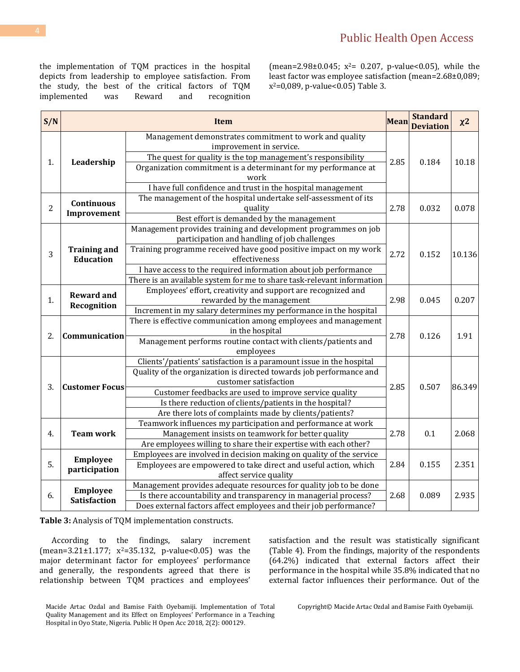the implementation of TQM practices in the hospital depicts from leadership to employee satisfaction. From the study, the best of the critical factors of TQM implemented was Reward and recognition (mean=2.98±0.045;  $x^2$ = 0.207, p-value<0.05), while the least factor was employee satisfaction (mean=2.68±0,089; x <sup>2</sup>=0,089, p-value<0.05) Table 3.

| S/N            |                                         | <b>Item</b>                                                            | <b>Mean</b> | <b>Standard</b><br><b>Deviation</b> | $x^2$  |
|----------------|-----------------------------------------|------------------------------------------------------------------------|-------------|-------------------------------------|--------|
| 1.             |                                         | Management demonstrates commitment to work and quality                 |             | 0.184                               | 10.18  |
|                | Leadership                              | improvement in service.                                                |             |                                     |        |
|                |                                         | The quest for quality is the top management's responsibility           | 2.85        |                                     |        |
|                |                                         | Organization commitment is a determinant for my performance at         |             |                                     |        |
|                |                                         | work                                                                   |             |                                     |        |
|                |                                         | I have full confidence and trust in the hospital management            |             |                                     |        |
|                | <b>Continuous</b><br>Improvement        | The management of the hospital undertake self-assessment of its        |             | 0.032                               | 0.078  |
| $\overline{2}$ |                                         | quality                                                                | 2.78        |                                     |        |
|                |                                         | Best effort is demanded by the management                              |             |                                     |        |
|                |                                         | Management provides training and development programmes on job         |             | 0.152                               | 10.136 |
|                |                                         | participation and handling of job challenges                           |             |                                     |        |
| 3              | <b>Training and</b><br><b>Education</b> | Training programme received have good positive impact on my work       | 2.72        |                                     |        |
|                |                                         | effectiveness                                                          |             |                                     |        |
|                |                                         | I have access to the required information about job performance        |             |                                     |        |
|                |                                         | There is an available system for me to share task-relevant information |             |                                     |        |
|                | <b>Reward and</b><br>Recognition        | Employees' effort, creativity and support are recognized and           | 2.98        | 0.045                               | 0.207  |
| 1.             |                                         | rewarded by the management                                             |             |                                     |        |
|                |                                         | Increment in my salary determines my performance in the hospital       |             |                                     |        |
|                | Communication                           | There is effective communication among employees and management        | 2.78        | 0.126                               | 1.91   |
| 2.             |                                         | in the hospital                                                        |             |                                     |        |
|                |                                         | Management performs routine contact with clients/patients and          |             |                                     |        |
|                |                                         | employees                                                              |             |                                     |        |
|                |                                         | Clients'/patients' satisfaction is a paramount issue in the hospital   |             | 0.507                               | 86.349 |
|                |                                         | Quality of the organization is directed towards job performance and    |             |                                     |        |
| 3.             | <b>Customer Focus</b>                   | customer satisfaction                                                  | 2.85        |                                     |        |
|                |                                         | Customer feedbacks are used to improve service quality                 |             |                                     |        |
|                |                                         | Is there reduction of clients/patients in the hospital?                |             |                                     |        |
|                |                                         | Are there lots of complaints made by clients/patients?                 |             |                                     |        |
|                | <b>Team work</b>                        | Teamwork influences my participation and performance at work           | 2.78        | 0.1                                 | 2.068  |
| 4.             |                                         | Management insists on teamwork for better quality                      |             |                                     |        |
|                |                                         | Are employees willing to share their expertise with each other?        |             |                                     |        |
| 5.             | Employee                                | Employees are involved in decision making on quality of the service    |             |                                     |        |
|                | participation                           | Employees are empowered to take direct and useful action, which        | 2.84        | 0.155                               | 2.351  |
|                |                                         | affect service quality                                                 |             |                                     |        |
| 6.             | <b>Employee</b>                         | Management provides adequate resources for quality job to be done      |             |                                     |        |
|                | <b>Satisfaction</b>                     | Is there accountability and transparency in managerial process?        | 2.68        | 0.089                               | 2.935  |
|                |                                         | Does external factors affect employees and their job performance?      |             |                                     |        |

**Table 3:** Analysis of TQM implementation constructs.

According to the findings, salary increment  $(mean=3.21 \pm 1.177; x^2=35.132, p-value<0.05)$  was the major determinant factor for employees' performance and generally, the respondents agreed that there is relationship between TQM practices and employees'

satisfaction and the result was statistically significant (Table 4). From the findings, majority of the respondents (64.2%) indicated that external factors affect their performance in the hospital while 35.8% indicated that no external factor influences their performance. Out of the

Macide Artac Ozdal and Bamise Faith Oyebamiji. Implementation of Total Quality Management and its Effect on Employees' Performance in a Teaching Hospital in Oyo State, Nigeria. Public H Open Acc 2018, 2(2): 000129.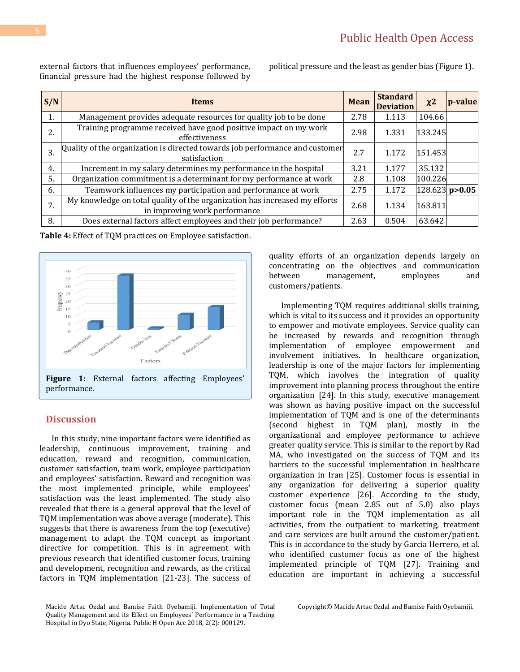external factors that influences employees' performance, financial pressure had the highest response followed by

political pressure and the least as gender bias (Figure 1).

| S/N | <b>Items</b>                                                                                                | <b>Mean</b> | <b>Standard</b><br><b>Deviation</b> | $x^2$   | p-value          |
|-----|-------------------------------------------------------------------------------------------------------------|-------------|-------------------------------------|---------|------------------|
| 1.  | Management provides adequate resources for quality job to be done                                           | 2.78        | 1.113                               | 104.66  |                  |
| 2.  | Training programme received have good positive impact on my work<br>effectiveness                           | 2.98        | 1.331                               | 133.245 |                  |
| 3.  | Quality of the organization is directed towards job performance and customer<br>satisfaction                | 2.7         | 1.172                               | 151.453 |                  |
| 4.  | Increment in my salary determines my performance in the hospital                                            | 3.21        | 1.177                               | 35.132  |                  |
| 5.  | Organization commitment is a determinant for my performance at work                                         | 2.8         | 1.108                               | 100.226 |                  |
| 6.  | Teamwork influences my participation and performance at work                                                | 2.75        | 1.172                               |         | $128.623$ p>0.05 |
| 7.  | My knowledge on total quality of the organization has increased my efforts<br>in improving work performance | 2.68        | 1.134                               | 163.811 |                  |
| 8.  | Does external factors affect employees and their job performance?                                           | 2.63        | 0.504                               | 63.642  |                  |

**Table 4:** Effect of TQM practices on Employee satisfaction.



# **Discussion**

In this study, nine important factors were identified as leadership, continuous improvement, training and education, reward and recognition, communication, customer satisfaction, team work, employee participation and employees' satisfaction. Reward and recognition was the most implemented principle, while employees' satisfaction was the least implemented. The study also revealed that there is a general approval that the level of TQM implementation was above average (moderate). This suggests that there is awareness from the top (executive) management to adapt the TQM concept as important directive for competition. This is in agreement with previous research that identified customer focus, training and development, recognition and rewards, as the critical factors in TQM implementation [21-23]. The success of

Macide Artac Ozdal and Bamise Faith Oyebamiji. Implementation of Total Quality Management and its Effect on Employees' Performance in a Teaching Hospital in Oyo State, Nigeria. Public H Open Acc 2018, 2(2): 000129.

quality efforts of an organization depends largely on concentrating on the objectives and communication between management, employees and customers/patients.

Implementing TQM requires additional skills training, which is vital to its success and it provides an opportunity to empower and motivate employees. Service quality can be increased by rewards and recognition through implementation of employee empowerment and involvement initiatives. In healthcare organization, leadership is one of the major factors for implementing TQM, which involves the integration of quality improvement into planning process throughout the entire organization [24]. In this study, executive management was shown as having positive impact on the successful implementation of TQM and is one of the determinants (second highest in TQM plan), mostly in the organizational and employee performance to achieve greater quality service. This is similar to the report by Rad MA, who investigated on the success of TQM and its barriers to the successful implementation in healthcare organization in Iran [25]. Customer focus is essential in any organization for delivering a superior quality customer experience [26]. According to the study, customer focus (mean 2.85 out of 5.0) also plays important role in the TQM implementation as all activities, from the outpatient to marketing, treatment and care services are built around the customer/patient. This is in accordance to the study by Garcia Herrero, et al. who identified customer focus as one of the highest implemented principle of TQM [27]. Training and education are important in achieving a successful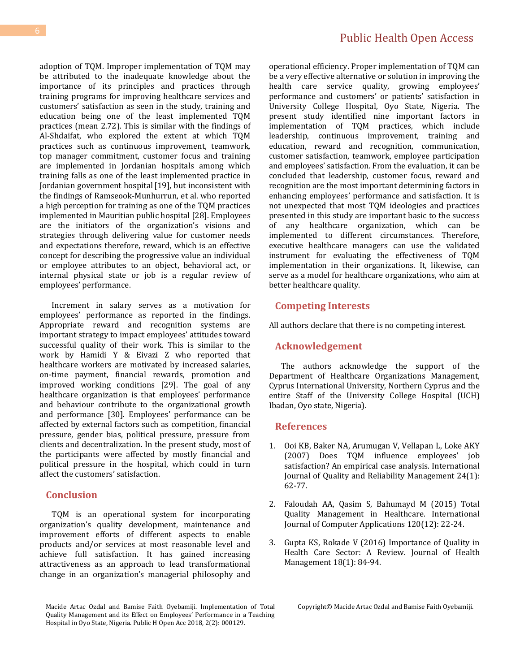adoption of TQM. Improper implementation of TQM may be attributed to the inadequate knowledge about the importance of its principles and practices through training programs for improving healthcare services and customers' satisfaction as seen in the study, training and education being one of the least implemented TQM practices (mean 2.72). This is similar with the findings of Al-Shdaifat, who explored the extent at which TQM practices such as continuous improvement, teamwork, top manager commitment, customer focus and training are implemented in Jordanian hospitals among which training falls as one of the least implemented practice in Jordanian government hospital[19], but inconsistent with the findings of Ramseook-Munhurrun, et al. who reported a high perception for training as one of the TQM practices implemented in Mauritian public hospital [28]. Employees are the initiators of the organization's visions and strategies through delivering value for customer needs and expectations therefore, reward, which is an effective concept for describing the progressive value an individual or employee attributes to an object, behavioral act, or internal physical state or job is a regular review of employees' performance.

Increment in salary serves as a motivation for employees' performance as reported in the findings. Appropriate reward and recognition systems are important strategy to impact employees' attitudes toward successful quality of their work. This is similar to the work by Hamidi Y & Eivazi Z who reported that healthcare workers are motivated by increased salaries, on-time payment, financial rewards, promotion and improved working conditions [29]. The goal of any healthcare organization is that employees' performance and behaviour contribute to the organizational growth and performance [30]. Employees' performance can be affected by external factors such as competition, financial pressure, gender bias, political pressure, pressure from clients and decentralization. In the present study, most of the participants were affected by mostly financial and political pressure in the hospital, which could in turn affect the customers' satisfaction.

# **Conclusion**

TQM is an operational system for incorporating organization's quality development, maintenance and improvement efforts of different aspects to enable products and/or services at most reasonable level and achieve full satisfaction. It has gained increasing attractiveness as an approach to lead transformational change in an organization's managerial philosophy and

Macide Artac Ozdal and Bamise Faith Oyebamiji. Implementation of Total Quality Management and its Effect on Employees' Performance in a Teaching Hospital in Oyo State, Nigeria. Public H Open Acc 2018, 2(2): 000129.

operational efficiency. Proper implementation of TQM can be a very effective alternative or solution in improving the health care service quality, growing employees' performance and customers' or patients' satisfaction in University College Hospital, Oyo State, Nigeria. The present study identified nine important factors in implementation of TQM practices, which include leadership, continuous improvement, training and education, reward and recognition, communication, customer satisfaction, teamwork, employee participation and employees' satisfaction. From the evaluation, it can be concluded that leadership, customer focus, reward and recognition are the most important determining factors in enhancing employees' performance and satisfaction. It is not unexpected that most TQM ideologies and practices presented in this study are important basic to the success of any healthcare organization, which can be implemented to different circumstances. Therefore, executive healthcare managers can use the validated instrument for evaluating the effectiveness of TQM implementation in their organizations. It, likewise, can serve as a model for healthcare organizations, who aim at better healthcare quality.

#### **Competing Interests**

All authors declare that there is no competing interest.

# **Acknowledgement**

The authors acknowledge the support of the Department of Healthcare Organizations Management, Cyprus International University, Northern Cyprus and the entire Staff of the University College Hospital (UCH) Ibadan, Oyo state, Nigeria).

#### **References**

- 1. [Ooi KB, Baker NA, Arumugan V, Vellapan L, Loke AKY](https://www.emeraldinsight.com/doi/abs/10.1108/02656710710720330)  [\(2007\) Does TQM influence employees' job](https://www.emeraldinsight.com/doi/abs/10.1108/02656710710720330)  [satisfaction? An empirical case analysis. International](https://www.emeraldinsight.com/doi/abs/10.1108/02656710710720330)  [Journal of Quality and Reliability Management 24\(1\):](https://www.emeraldinsight.com/doi/abs/10.1108/02656710710720330)  [62-77.](https://www.emeraldinsight.com/doi/abs/10.1108/02656710710720330)
- 2. [Faloudah AA, Qasim S, Bahumayd M \(2015\) Total](https://www.ijcaonline.org/archives/volume120/number12/21280-4160.)  [Quality Management in Healthcare. International](https://www.ijcaonline.org/archives/volume120/number12/21280-4160.)  [Journal of Computer Applications 120\(12\): 22-24.](https://www.ijcaonline.org/archives/volume120/number12/21280-4160.)
- 3. [Gupta KS, Rokade V \(2016\) Importance of Quality in](http://journals.sagepub.com/doi/abs/10.1177/0972063415625527)  [Health Care Sector: A Review. Journal of Health](http://journals.sagepub.com/doi/abs/10.1177/0972063415625527)  [Management 18\(1\): 84-94.](http://journals.sagepub.com/doi/abs/10.1177/0972063415625527)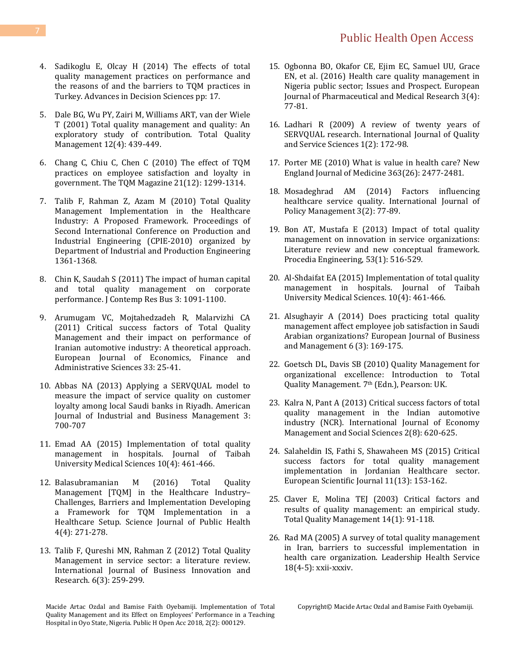# Public Health Open Access

- 4. [Sadikoglu E, Olcay H \(2014\) The effects of total](https://www.hindawi.com/journals/ads/2014/537605/)  [quality management practices on performance and](https://www.hindawi.com/journals/ads/2014/537605/)  [the reasons of and the barriers to TQM practices in](https://www.hindawi.com/journals/ads/2014/537605/)  [Turkey. Advances in Decision Sciences pp: 17.](https://www.hindawi.com/journals/ads/2014/537605/)
- 5. [Dale BG, Wu PY, Zairi M, Williams ART, van der Wiele](https://www.tandfonline.com/doi/abs/10.1080/09544120123930?needAccess=true)  [T \(2001\) Total quality management and quality: An](https://www.tandfonline.com/doi/abs/10.1080/09544120123930?needAccess=true)  [exploratory study of contribution. Total Quality](https://www.tandfonline.com/doi/abs/10.1080/09544120123930?needAccess=true)  [Management 12\(4\): 439-449.](https://www.tandfonline.com/doi/abs/10.1080/09544120123930?needAccess=true)
- 6. [Chang C, Chiu C, Chen C \(2010\) The effect of TQM](https://www.tandfonline.com/doi/abs/10.1080/14783363.2010.530796)  [practices on employee satisfaction and loyalty in](https://www.tandfonline.com/doi/abs/10.1080/14783363.2010.530796)  [government. The TQM Magazine](https://www.tandfonline.com/doi/abs/10.1080/14783363.2010.530796) 21(12): 1299-1314.
- 7. [Talib F, Rahman Z, Azam M \(2010\) Total Quality](http://www.academia.edu/228453/Total_Quality_Management_Implementation_in_the_Healthcare_Industry_A_Proposed_Framework)  [Management Implementation in the Healthcare](http://www.academia.edu/228453/Total_Quality_Management_Implementation_in_the_Healthcare_Industry_A_Proposed_Framework)  [Industry: A Proposed Framework. Proceedings of](http://www.academia.edu/228453/Total_Quality_Management_Implementation_in_the_Healthcare_Industry_A_Proposed_Framework)  [Second International Conference on Production and](http://www.academia.edu/228453/Total_Quality_Management_Implementation_in_the_Healthcare_Industry_A_Proposed_Framework)  [Industrial Engineering \(CPIE-2010\) organized by](http://www.academia.edu/228453/Total_Quality_Management_Implementation_in_the_Healthcare_Industry_A_Proposed_Framework)  [Department of Industrial and Production Engineering](http://www.academia.edu/228453/Total_Quality_Management_Implementation_in_the_Healthcare_Industry_A_Proposed_Framework)  [1361-1368.](http://www.academia.edu/228453/Total_Quality_Management_Implementation_in_the_Healthcare_Industry_A_Proposed_Framework)
- 8. Chin K, Saudah S (2011) The impact of human capital and total quality management on corporate performance. J Contemp Res Bus 3: 1091-1100.
- 9. [Arumugam VC, Mojtahedzadeh R, Malarvizhi CA](https://pdfs.semanticscholar.org/e583/11618ce6da36ade0ebc700bfa4641cc5fabd.pdf)  [\(2011\) Critical success factors of Total Quality](https://pdfs.semanticscholar.org/e583/11618ce6da36ade0ebc700bfa4641cc5fabd.pdf)  [Management and their impact on performance of](https://pdfs.semanticscholar.org/e583/11618ce6da36ade0ebc700bfa4641cc5fabd.pdf)  [Iranian automotive industry: A](https://pdfs.semanticscholar.org/e583/11618ce6da36ade0ebc700bfa4641cc5fabd.pdf) theoretical approach. [European Journal of Economics, Finance and](https://pdfs.semanticscholar.org/e583/11618ce6da36ade0ebc700bfa4641cc5fabd.pdf)  [Administrative Sciences 33: 25-41.](https://pdfs.semanticscholar.org/e583/11618ce6da36ade0ebc700bfa4641cc5fabd.pdf)
- 10. [Abbas NA \(2013\) Applying a SERVQUAL model to](https://file.scirp.org/pdf/AJIBM_2013122310152129.pdf)  [measure the impact of service quality on](https://file.scirp.org/pdf/AJIBM_2013122310152129.pdf) customer [loyalty among local Saudi banks in Riyadh. American](https://file.scirp.org/pdf/AJIBM_2013122310152129.pdf)  [Journal of Industrial and Business Management](https://file.scirp.org/pdf/AJIBM_2013122310152129.pdf) 3: [700-707](https://file.scirp.org/pdf/AJIBM_2013122310152129.pdf)
- 11. [Emad AA \(2015\) Implementation of total quality](https://www.sciencedirect.com/science/article/pii/S1658361215000761)  [management in hospitals. Journal of Taibah](https://www.sciencedirect.com/science/article/pii/S1658361215000761)  [University Medical Sciences 10\(4\): 461-466.](https://www.sciencedirect.com/science/article/pii/S1658361215000761)
- 12. [Balasubramanian M \(2016\) Total Quality](http://article.sciencepublishinggroup.com/html/10.11648.j.sjph.20160404.11.html)  [Management \[TQM\] in the Healthcare Industry](http://article.sciencepublishinggroup.com/html/10.11648.j.sjph.20160404.11.html)– [Challenges, Barriers and Implementation Developing](http://article.sciencepublishinggroup.com/html/10.11648.j.sjph.20160404.11.html)  [a Framework for TQM Implementation in a](http://article.sciencepublishinggroup.com/html/10.11648.j.sjph.20160404.11.html)  [Healthcare Setup. Science Journal of Public Health](http://article.sciencepublishinggroup.com/html/10.11648.j.sjph.20160404.11.html)  [4\(4\): 271-278.](http://article.sciencepublishinggroup.com/html/10.11648.j.sjph.20160404.11.html)
- 13. [Talib F, Qureshi MN, Rahman Z \(2012\) Total Quality](https://www.inderscienceonline.com/doi/abs/10.1504/IJBIR.2012.046628)  [Management in service sector: a literature review.](https://www.inderscienceonline.com/doi/abs/10.1504/IJBIR.2012.046628)  [International Journal of Business Innovation and](https://www.inderscienceonline.com/doi/abs/10.1504/IJBIR.2012.046628)  [Research. 6\(3\): 259-299.](https://www.inderscienceonline.com/doi/abs/10.1504/IJBIR.2012.046628)
- 15. [Ogbonna BO, Okafor CE, Ejim EC, Samuel UU, Grace](http://www.ejpmr.com/admin/assets/article_issue/1459477243.pdf)  [EN, et al. \(2016\) Health care quality management in](http://www.ejpmr.com/admin/assets/article_issue/1459477243.pdf)  [Nigeria public sector; Issues and Prospect. European](http://www.ejpmr.com/admin/assets/article_issue/1459477243.pdf)  [Journal of Pharmaceutical and Medical Research 3\(4\):](http://www.ejpmr.com/admin/assets/article_issue/1459477243.pdf)  [77-81.](http://www.ejpmr.com/admin/assets/article_issue/1459477243.pdf)
- 16. [Ladhari R \(2009\) A review of twenty years of](https://www.emeraldinsight.com/doi/abs/10.1108/17566690910971445)  [SERVQUAL research. International Journal of Quality](https://www.emeraldinsight.com/doi/abs/10.1108/17566690910971445)  [and Service Sciences 1\(2\): 172-98.](https://www.emeraldinsight.com/doi/abs/10.1108/17566690910971445)
- 17. [Porter ME \(2010\) What is value in health care? New](https://www.nejm.org/doi/full/10.1056/nejmp1011024)  [England Journal of Medicine 363\(26\): 2477-2481.](https://www.nejm.org/doi/full/10.1056/nejmp1011024)
- 18. [Mosadeghrad AM \(2014\) Factors influencing](https://www.ncbi.nlm.nih.gov/pubmed/25114946/)  [healthcare service quality. International Journal of](https://www.ncbi.nlm.nih.gov/pubmed/25114946/)  [Policy Management 3\(2\): 77-89.](https://www.ncbi.nlm.nih.gov/pubmed/25114946/)
- 19. [Bon AT, Mustafa E \(2013\) Impact of total quality](https://www.sciencedirect.com/science/article/pii/S1877705813001860)  [management on innovation in service organizations:](https://www.sciencedirect.com/science/article/pii/S1877705813001860)  [Literature review and new conceptual framework.](https://www.sciencedirect.com/science/article/pii/S1877705813001860)  [Procedia Engineering, 53\(1\): 516-529.](https://www.sciencedirect.com/science/article/pii/S1877705813001860)
- 20. [Al-Shdaifat EA \(2015\) Implementation of total quality](https://www.sciencedirect.com/science/article/pii/S1658361215000761)  [management in hospitals. Journal of Taibah](https://www.sciencedirect.com/science/article/pii/S1658361215000761)  [University Medical Sciences. 10\(4\): 461-466.](https://www.sciencedirect.com/science/article/pii/S1658361215000761)
- 21. [Alsughayir A \(2014\) Does practicing total quality](file:///C:/Users/Abc/Downloads/10538-12726-1-PB%20(1).pdf)  [management affect employee job satisfaction in Saudi](file:///C:/Users/Abc/Downloads/10538-12726-1-PB%20(1).pdf)  [Arabian organizations? European Journal of Business](file:///C:/Users/Abc/Downloads/10538-12726-1-PB%20(1).pdf)  [and Management 6 \(3\): 169-175.](file:///C:/Users/Abc/Downloads/10538-12726-1-PB%20(1).pdf)
- 22. Goetsch DL, Davis SB (2010) Quality Management for organizational excellence: Introduction to Total Quality Management. 7<sup>th</sup> (Edn.), Pearson: UK.
- 23. [Kalra N, Pant A \(2013\) Critical success factors of total](https://pdfs.semanticscholar.org/6352/50a4be10abf031b9e9c0a59d344cee482ce8.pdf)  [quality management in the Indian automotive](https://pdfs.semanticscholar.org/6352/50a4be10abf031b9e9c0a59d344cee482ce8.pdf)  [industry \(NCR\). International Journal of Economy](https://pdfs.semanticscholar.org/6352/50a4be10abf031b9e9c0a59d344cee482ce8.pdf)  [Management and Social Sciences 2\(8\): 620-625.](https://pdfs.semanticscholar.org/6352/50a4be10abf031b9e9c0a59d344cee482ce8.pdf)
- 24. [Salaheldin IS, Fathi S, Shawaheen MS \(2015\) Critical](https://eujournal.org/index.php/esj/article/view/5643)  [success factors for total quality management](https://eujournal.org/index.php/esj/article/view/5643)  [implementation in Jordanian Healthcare sector.](https://eujournal.org/index.php/esj/article/view/5643)  [European Scientific Journal 11\(13\): 153-162.](https://eujournal.org/index.php/esj/article/view/5643)
- 25. Claver E, Molina TEJ (2003) Critical factors and [results of quality management: an empirical study.](https://www.tandfonline.com/doi/abs/10.1080/14783360309709)  [Total Quality Management 14\(1\): 91-118.](https://www.tandfonline.com/doi/abs/10.1080/14783360309709)
- 26. [Rad MA \(2005\) A survey of total quality management](https://www.ncbi.nlm.nih.gov/pubmed/16167653)  [in Iran, barriers to successful implementation in](https://www.ncbi.nlm.nih.gov/pubmed/16167653)  [health care organization. Leadership Health Service](https://www.ncbi.nlm.nih.gov/pubmed/16167653)  [18\(4-5\): xxii-xxxiv.](https://www.ncbi.nlm.nih.gov/pubmed/16167653)

Macide Artac Ozdal and Bamise Faith Oyebamiji. Implementation of Total Quality Management and its Effect on Employees' Performance in a Teaching Hospital in Oyo State, Nigeria. Public H Open Acc 2018, 2(2): 000129.